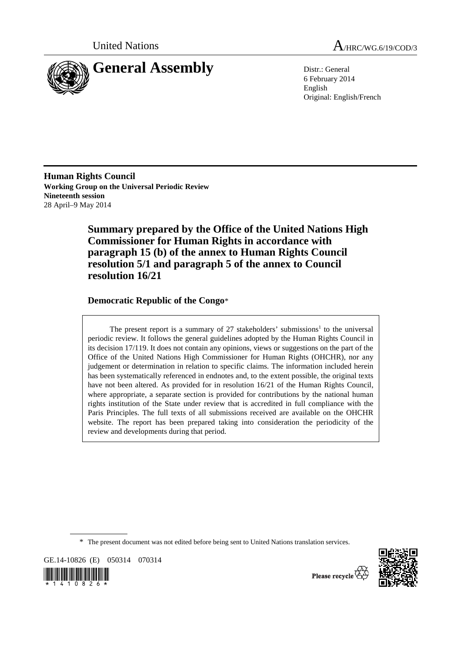

United Nations A<sub>/HRC/WG.6/19/COD/3</sub>

6 February 2014 English Original: English/French

**Human Rights Council Working Group on the Universal Periodic Review Nineteenth session**  28 April–9 May 2014

> **Summary prepared by the Office of the United Nations High Commissioner for Human Rights in accordance with paragraph 15 (b) of the annex to Human Rights Council resolution 5/1 and paragraph 5 of the annex to Council resolution 16/21**

# **Democratic Republic of the Congo**\*

The present report is a summary of  $27$  stakeholders' submissions<sup>1</sup> to the universal periodic review. It follows the general guidelines adopted by the Human Rights Council in its decision 17/119. It does not contain any opinions, views or suggestions on the part of the Office of the United Nations High Commissioner for Human Rights (OHCHR), nor any judgement or determination in relation to specific claims. The information included herein has been systematically referenced in endnotes and, to the extent possible, the original texts have not been altered. As provided for in resolution 16/21 of the Human Rights Council, where appropriate, a separate section is provided for contributions by the national human rights institution of the State under review that is accredited in full compliance with the Paris Principles. The full texts of all submissions received are available on the OHCHR website. The report has been prepared taking into consideration the periodicity of the review and developments during that period.

\* The present document was not edited before being sent to United Nations translation services.

GE.14-10826 (E) 050314 070314





Please recycle<sup>7</sup>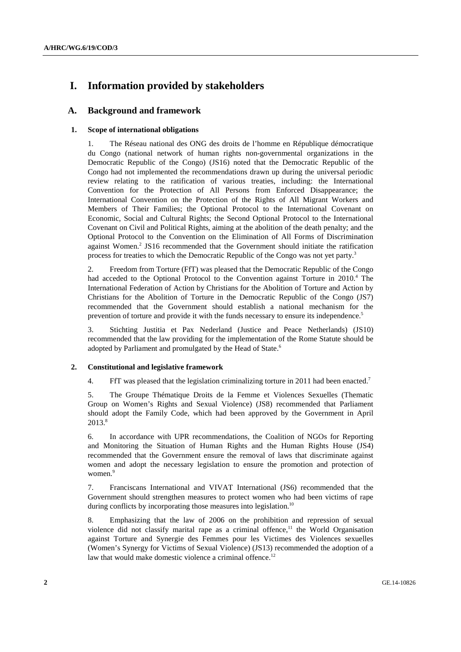# **I. Information provided by stakeholders**

# **A. Background and framework**

# **1. Scope of international obligations**

1. The Réseau national des ONG des droits de l'homme en République démocratique du Congo (national network of human rights non-governmental organizations in the Democratic Republic of the Congo) (JS16) noted that the Democratic Republic of the Congo had not implemented the recommendations drawn up during the universal periodic review relating to the ratification of various treaties, including: the International Convention for the Protection of All Persons from Enforced Disappearance; the International Convention on the Protection of the Rights of All Migrant Workers and Members of Their Families; the Optional Protocol to the International Covenant on Economic, Social and Cultural Rights; the Second Optional Protocol to the International Covenant on Civil and Political Rights, aiming at the abolition of the death penalty; and the Optional Protocol to the Convention on the Elimination of All Forms of Discrimination against Women.<sup>2</sup> JS16 recommended that the Government should initiate the ratification process for treaties to which the Democratic Republic of the Congo was not yet party.<sup>3</sup>

2. Freedom from Torture (FfT) was pleased that the Democratic Republic of the Congo had acceded to the Optional Protocol to the Convention against Torture in 2010.<sup>4</sup> The International Federation of Action by Christians for the Abolition of Torture and Action by Christians for the Abolition of Torture in the Democratic Republic of the Congo (JS7) recommended that the Government should establish a national mechanism for the prevention of torture and provide it with the funds necessary to ensure its independence.<sup>5</sup>

3. Stichting Justitia et Pax Nederland (Justice and Peace Netherlands) (JS10) recommended that the law providing for the implementation of the Rome Statute should be adopted by Parliament and promulgated by the Head of State.<sup>6</sup>

## **2. Constitutional and legislative framework**

4. FfT was pleased that the legislation criminalizing torture in 2011 had been enacted.<sup>7</sup>

5. The Groupe Thématique Droits de la Femme et Violences Sexuelles (Thematic Group on Women's Rights and Sexual Violence) (JS8) recommended that Parliament should adopt the Family Code, which had been approved by the Government in April 2013.8

6. In accordance with UPR recommendations, the Coalition of NGOs for Reporting and Monitoring the Situation of Human Rights and the Human Rights House (JS4) recommended that the Government ensure the removal of laws that discriminate against women and adopt the necessary legislation to ensure the promotion and protection of women.<sup>9</sup>

7. Franciscans International and VIVAT International (JS6) recommended that the Government should strengthen measures to protect women who had been victims of rape during conflicts by incorporating those measures into legislation.<sup>10</sup>

8. Emphasizing that the law of 2006 on the prohibition and repression of sexual violence did not classify marital rape as a criminal offence, $11$  the World Organisation against Torture and Synergie des Femmes pour les Victimes des Violences sexuelles (Women's Synergy for Victims of Sexual Violence) (JS13) recommended the adoption of a law that would make domestic violence a criminal offence.<sup>12</sup>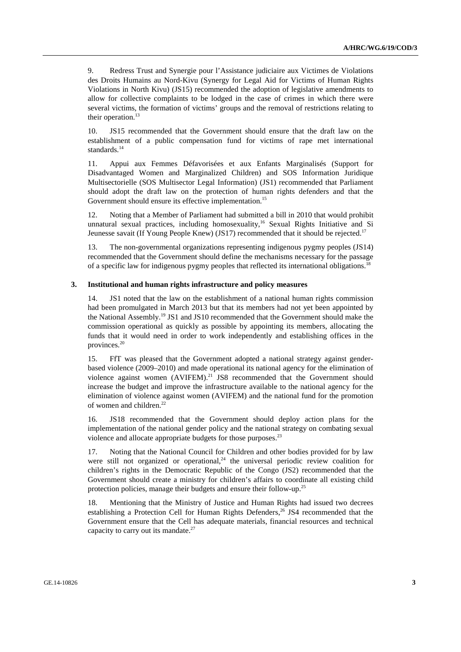9. Redress Trust and Synergie pour l'Assistance judiciaire aux Victimes de Violations des Droits Humains au Nord-Kivu (Synergy for Legal Aid for Victims of Human Rights Violations in North Kivu) (JS15) recommended the adoption of legislative amendments to allow for collective complaints to be lodged in the case of crimes in which there were several victims, the formation of victims' groups and the removal of restrictions relating to their operation. $13$ 

10. JS15 recommended that the Government should ensure that the draft law on the establishment of a public compensation fund for victims of rape met international standards.<sup>14</sup>

11. Appui aux Femmes Défavorisées et aux Enfants Marginalisés (Support for Disadvantaged Women and Marginalized Children) and SOS Information Juridique Multisectorielle (SOS Multisector Legal Information) (JS1) recommended that Parliament should adopt the draft law on the protection of human rights defenders and that the Government should ensure its effective implementation.<sup>15</sup>

12. Noting that a Member of Parliament had submitted a bill in 2010 that would prohibit unnatural sexual practices, including homosexuality,<sup>16</sup> Sexual Rights Initiative and Si Jeunesse savait (If Young People Knew) (JS17) recommended that it should be rejected.<sup>17</sup>

13. The non-governmental organizations representing indigenous pygmy peoples (JS14) recommended that the Government should define the mechanisms necessary for the passage of a specific law for indigenous pygmy peoples that reflected its international obligations.<sup>18</sup>

## **3. Institutional and human rights infrastructure and policy measures**

14. JS1 noted that the law on the establishment of a national human rights commission had been promulgated in March 2013 but that its members had not yet been appointed by the National Assembly.19 JS1 and JS10 recommended that the Government should make the commission operational as quickly as possible by appointing its members, allocating the funds that it would need in order to work independently and establishing offices in the provinces.20

15. FfT was pleased that the Government adopted a national strategy against genderbased violence (2009–2010) and made operational its national agency for the elimination of violence against women (AVIFEM).<sup>21</sup> JS8 recommended that the Government should increase the budget and improve the infrastructure available to the national agency for the elimination of violence against women (AVIFEM) and the national fund for the promotion of women and children.<sup>22</sup>

16. JS18 recommended that the Government should deploy action plans for the implementation of the national gender policy and the national strategy on combating sexual violence and allocate appropriate budgets for those purposes.<sup>23</sup>

17. Noting that the National Council for Children and other bodies provided for by law were still not organized or operational,<sup>24</sup> the universal periodic review coalition for children's rights in the Democratic Republic of the Congo (JS2) recommended that the Government should create a ministry for children's affairs to coordinate all existing child protection policies, manage their budgets and ensure their follow-up.25

18. Mentioning that the Ministry of Justice and Human Rights had issued two decrees establishing a Protection Cell for Human Rights Defenders,<sup>26</sup> JS4 recommended that the Government ensure that the Cell has adequate materials, financial resources and technical capacity to carry out its mandate. $27$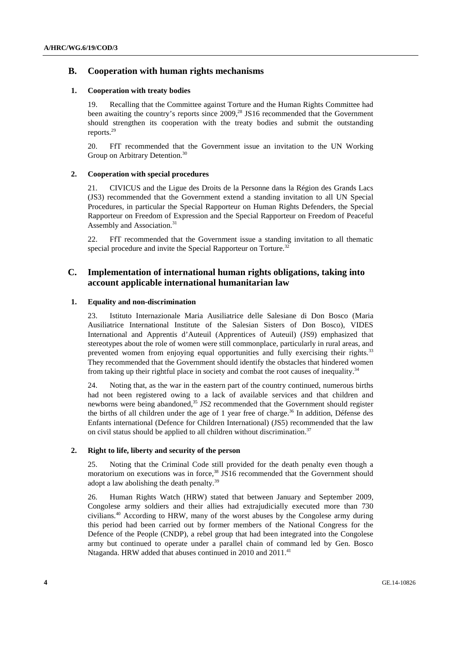# **B. Cooperation with human rights mechanisms**

#### **1. Cooperation with treaty bodies**

19. Recalling that the Committee against Torture and the Human Rights Committee had been awaiting the country's reports since 2009,<sup>28</sup> JS16 recommended that the Government should strengthen its cooperation with the treaty bodies and submit the outstanding reports.29

20. FfT recommended that the Government issue an invitation to the UN Working Group on Arbitrary Detention.<sup>30</sup>

# **2. Cooperation with special procedures**

21. CIVICUS and the Ligue des Droits de la Personne dans la Région des Grands Lacs (JS3) recommended that the Government extend a standing invitation to all UN Special Procedures, in particular the Special Rapporteur on Human Rights Defenders, the Special Rapporteur on Freedom of Expression and the Special Rapporteur on Freedom of Peaceful Assembly and Association.<sup>31</sup>

22. FfT recommended that the Government issue a standing invitation to all thematic special procedure and invite the Special Rapporteur on Torture.<sup>32</sup>

# **C. Implementation of international human rights obligations, taking into account applicable international humanitarian law**

## **1. Equality and non-discrimination**

23. Istituto Internazionale Maria Ausiliatrice delle Salesiane di Don Bosco (Maria Ausiliatrice International Institute of the Salesian Sisters of Don Bosco), VIDES International and Apprentis d'Auteuil (Apprentices of Auteuil) (JS9) emphasized that stereotypes about the role of women were still commonplace, particularly in rural areas, and prevented women from enjoying equal opportunities and fully exercising their rights.<sup>33</sup> They recommended that the Government should identify the obstacles that hindered women from taking up their rightful place in society and combat the root causes of inequality.34

24. Noting that, as the war in the eastern part of the country continued, numerous births had not been registered owing to a lack of available services and that children and newborns were being abandoned,<sup>35</sup> JS2 recommended that the Government should register the births of all children under the age of 1 year free of charge.<sup>36</sup> In addition, Défense des Enfants international (Defence for Children International) (JS5) recommended that the law on civil status should be applied to all children without discrimination.<sup>37</sup>

#### **2. Right to life, liberty and security of the person**

25. Noting that the Criminal Code still provided for the death penalty even though a moratorium on executions was in force.<sup>38</sup> JS16 recommended that the Government should adopt a law abolishing the death penalty.<sup>39</sup>

26. Human Rights Watch (HRW) stated that between January and September 2009, Congolese army soldiers and their allies had extrajudicially executed more than 730 civilians.40 According to HRW, many of the worst abuses by the Congolese army during this period had been carried out by former members of the National Congress for the Defence of the People (CNDP), a rebel group that had been integrated into the Congolese army but continued to operate under a parallel chain of command led by Gen. Bosco Ntaganda. HRW added that abuses continued in 2010 and  $2011<sup>41</sup>$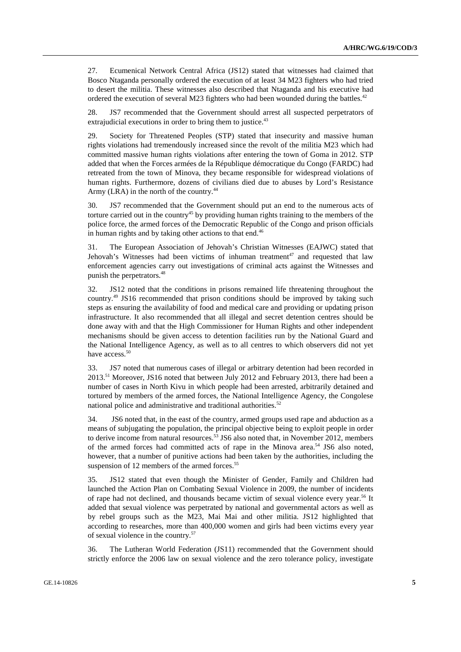27. Ecumenical Network Central Africa (JS12) stated that witnesses had claimed that Bosco Ntaganda personally ordered the execution of at least 34 M23 fighters who had tried to desert the militia. These witnesses also described that Ntaganda and his executive had ordered the execution of several M23 fighters who had been wounded during the battles.<sup>42</sup>

28. JS7 recommended that the Government should arrest all suspected perpetrators of extrajudicial executions in order to bring them to justice.<sup>43</sup>

29. Society for Threatened Peoples (STP) stated that insecurity and massive human rights violations had tremendously increased since the revolt of the militia M23 which had committed massive human rights violations after entering the town of Goma in 2012. STP added that when the Forces armées de la République démocratique du Congo (FARDC) had retreated from the town of Minova, they became responsible for widespread violations of human rights. Furthermore, dozens of civilians died due to abuses by Lord's Resistance Army (LRA) in the north of the country.<sup>44</sup>

30. JS7 recommended that the Government should put an end to the numerous acts of torture carried out in the country<sup>45</sup> by providing human rights training to the members of the police force, the armed forces of the Democratic Republic of the Congo and prison officials in human rights and by taking other actions to that end.<sup>46</sup>

31. The European Association of Jehovah's Christian Witnesses (EAJWC) stated that Jehovah's Witnesses had been victims of inhuman treatment<sup>47</sup> and requested that law enforcement agencies carry out investigations of criminal acts against the Witnesses and punish the perpetrators.<sup>48</sup>

32. JS12 noted that the conditions in prisons remained life threatening throughout the country.49 JS16 recommended that prison conditions should be improved by taking such steps as ensuring the availability of food and medical care and providing or updating prison infrastructure. It also recommended that all illegal and secret detention centres should be done away with and that the High Commissioner for Human Rights and other independent mechanisms should be given access to detention facilities run by the National Guard and the National Intelligence Agency, as well as to all centres to which observers did not yet have access.<sup>50</sup>

33. JS7 noted that numerous cases of illegal or arbitrary detention had been recorded in 2013.<sup>51</sup> Moreover, JS16 noted that between July 2012 and February 2013, there had been a number of cases in North Kivu in which people had been arrested, arbitrarily detained and tortured by members of the armed forces, the National Intelligence Agency, the Congolese national police and administrative and traditional authorities.<sup>52</sup>

34. JS6 noted that, in the east of the country, armed groups used rape and abduction as a means of subjugating the population, the principal objective being to exploit people in order to derive income from natural resources.<sup>53</sup> JS6 also noted that, in November 2012, members of the armed forces had committed acts of rape in the Minova area.<sup>54</sup> JS6 also noted, however, that a number of punitive actions had been taken by the authorities, including the suspension of 12 members of the armed forces.<sup>55</sup>

35. JS12 stated that even though the Minister of Gender, Family and Children had launched the Action Plan on Combating Sexual Violence in 2009, the number of incidents of rape had not declined, and thousands became victim of sexual violence every year.56 It added that sexual violence was perpetrated by national and governmental actors as well as by rebel groups such as the M23, Mai Mai and other militia. JS12 highlighted that according to researches, more than 400,000 women and girls had been victims every year of sexual violence in the country.57

36. The Lutheran World Federation (JS11) recommended that the Government should strictly enforce the 2006 law on sexual violence and the zero tolerance policy, investigate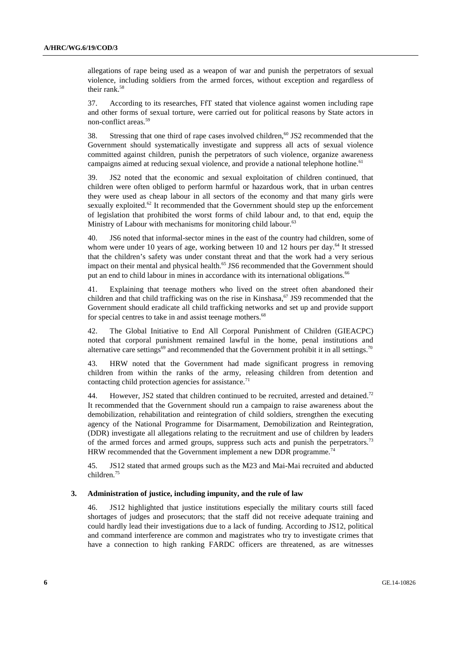allegations of rape being used as a weapon of war and punish the perpetrators of sexual violence, including soldiers from the armed forces, without exception and regardless of their rank.<sup>58</sup>

37. According to its researches, FfT stated that violence against women including rape and other forms of sexual torture, were carried out for political reasons by State actors in non-conflict areas.59

38. Stressing that one third of rape cases involved children,<sup>60</sup> JS2 recommended that the Government should systematically investigate and suppress all acts of sexual violence committed against children, punish the perpetrators of such violence, organize awareness campaigns aimed at reducing sexual violence, and provide a national telephone hotline.<sup>61</sup>

39. JS2 noted that the economic and sexual exploitation of children continued, that children were often obliged to perform harmful or hazardous work, that in urban centres they were used as cheap labour in all sectors of the economy and that many girls were sexually exploited.<sup>62</sup> It recommended that the Government should step up the enforcement of legislation that prohibited the worst forms of child labour and, to that end, equip the Ministry of Labour with mechanisms for monitoring child labour.<sup>63</sup>

40. JS6 noted that informal-sector mines in the east of the country had children, some of whom were under 10 years of age, working between 10 and 12 hours per day.<sup>64</sup> It stressed that the children's safety was under constant threat and that the work had a very serious impact on their mental and physical health.<sup>65</sup> JS6 recommended that the Government should put an end to child labour in mines in accordance with its international obligations.<sup>66</sup>

41. Explaining that teenage mothers who lived on the street often abandoned their children and that child trafficking was on the rise in Kinshasa.<sup>67</sup> JS9 recommended that the Government should eradicate all child trafficking networks and set up and provide support for special centres to take in and assist teenage mothers.<sup>68</sup>

42. The Global Initiative to End All Corporal Punishment of Children (GIEACPC) noted that corporal punishment remained lawful in the home, penal institutions and alternative care settings<sup>69</sup> and recommended that the Government prohibit it in all settings.<sup>70</sup>

43. HRW noted that the Government had made significant progress in removing children from within the ranks of the army, releasing children from detention and contacting child protection agencies for assistance. $71$ 

44. However, JS2 stated that children continued to be recruited, arrested and detained.<sup>72</sup> It recommended that the Government should run a campaign to raise awareness about the demobilization, rehabilitation and reintegration of child soldiers, strengthen the executing agency of the National Programme for Disarmament, Demobilization and Reintegration, (DDR) investigate all allegations relating to the recruitment and use of children by leaders of the armed forces and armed groups, suppress such acts and punish the perpetrators.<sup>73</sup> HRW recommended that the Government implement a new DDR programme.<sup>7</sup>

45. JS12 stated that armed groups such as the M23 and Mai-Mai recruited and abducted children.75

## **3. Administration of justice, including impunity, and the rule of law**

46. JS12 highlighted that justice institutions especially the military courts still faced shortages of judges and prosecutors; that the staff did not receive adequate training and could hardly lead their investigations due to a lack of funding. According to JS12, political and command interference are common and magistrates who try to investigate crimes that have a connection to high ranking FARDC officers are threatened, as are witnesses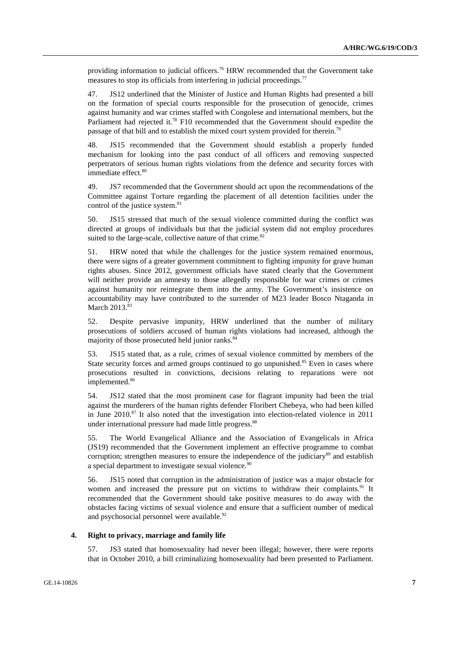providing information to judicial officers.<sup>76</sup> HRW recommended that the Government take measures to stop its officials from interfering in judicial proceedings.<sup>77</sup>

47. JS12 underlined that the Minister of Justice and Human Rights had presented a bill on the formation of special courts responsible for the prosecution of genocide, crimes against humanity and war crimes staffed with Congolese and international members, but the Parliament had rejected it.<sup>78</sup> F10 recommended that the Government should expedite the passage of that bill and to establish the mixed court system provided for therein.<sup>79</sup>

48. JS15 recommended that the Government should establish a properly funded mechanism for looking into the past conduct of all officers and removing suspected perpetrators of serious human rights violations from the defence and security forces with immediate effect.<sup>80</sup>

49. JS7 recommended that the Government should act upon the recommendations of the Committee against Torture regarding the placement of all detention facilities under the control of the justice system.<sup>81</sup>

50. JS15 stressed that much of the sexual violence committed during the conflict was directed at groups of individuals but that the judicial system did not employ procedures suited to the large-scale, collective nature of that crime.<sup>82</sup>

51. HRW noted that while the challenges for the justice system remained enormous, there were signs of a greater government commitment to fighting impunity for grave human rights abuses. Since 2012, government officials have stated clearly that the Government will neither provide an amnesty to those allegedly responsible for war crimes or crimes against humanity nor reintegrate them into the army. The Government's insistence on accountability may have contributed to the surrender of M23 leader Bosco Ntaganda in March  $2013.^{83}$ 

52. Despite pervasive impunity, HRW underlined that the number of military prosecutions of soldiers accused of human rights violations had increased, although the majority of those prosecuted held junior ranks.<sup>84</sup>

53. JS15 stated that, as a rule, crimes of sexual violence committed by members of the State security forces and armed groups continued to go unpunished.<sup>85</sup> Even in cases where prosecutions resulted in convictions, decisions relating to reparations were not implemented.<sup>86</sup>

54. JS12 stated that the most prominent case for flagrant impunity had been the trial against the murderers of the human rights defender Floribert Chebeya, who had been killed in June  $2010$ .<sup>87</sup> It also noted that the investigation into election-related violence in  $2011$ under international pressure had made little progress.<sup>88</sup>

55. The World Evangelical Alliance and the Association of Evangelicals in Africa (JS19) recommended that the Government implement an effective programme to combat corruption; strengthen measures to ensure the independence of the judiciary<sup>89</sup> and establish a special department to investigate sexual violence.<sup>9</sup>

56. JS15 noted that corruption in the administration of justice was a major obstacle for women and increased the pressure put on victims to withdraw their complaints.<sup>91</sup> It recommended that the Government should take positive measures to do away with the obstacles facing victims of sexual violence and ensure that a sufficient number of medical and psychosocial personnel were available.<sup>92</sup>

## **4. Right to privacy, marriage and family life**

57. JS3 stated that homosexuality had never been illegal; however, there were reports that in October 2010, a bill criminalizing homosexuality had been presented to Parliament.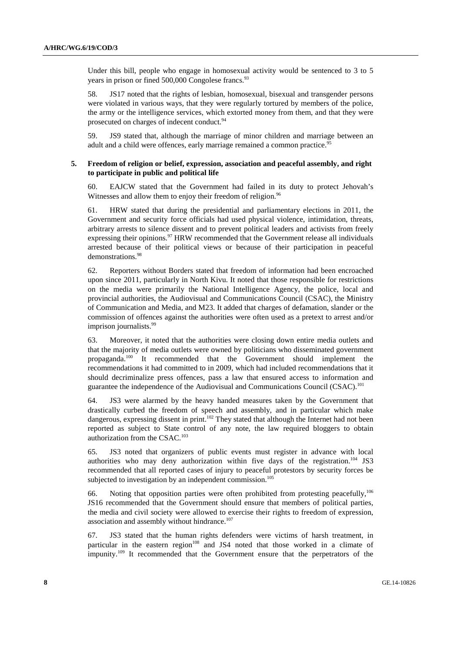Under this bill, people who engage in homosexual activity would be sentenced to 3 to 5 years in prison or fined  $500,000$  Congolese francs.<sup>93</sup>

58. JS17 noted that the rights of lesbian, homosexual, bisexual and transgender persons were violated in various ways, that they were regularly tortured by members of the police, the army or the intelligence services, which extorted money from them, and that they were prosecuted on charges of indecent conduct.<sup>94</sup>

59. JS9 stated that, although the marriage of minor children and marriage between an adult and a child were offences, early marriage remained a common practice.<sup>95</sup>

## **5. Freedom of religion or belief, expression, association and peaceful assembly, and right to participate in public and political life**

60. EAJCW stated that the Government had failed in its duty to protect Jehovah's Witnesses and allow them to enjoy their freedom of religion.<sup>96</sup>

61. HRW stated that during the presidential and parliamentary elections in 2011, the Government and security force officials had used physical violence, intimidation, threats, arbitrary arrests to silence dissent and to prevent political leaders and activists from freely expressing their opinions.<sup>97</sup> HRW recommended that the Government release all individuals arrested because of their political views or because of their participation in peaceful demonstrations.98

62. Reporters without Borders stated that freedom of information had been encroached upon since 2011, particularly in North Kivu. It noted that those responsible for restrictions on the media were primarily the National Intelligence Agency, the police, local and provincial authorities, the Audiovisual and Communications Council (CSAC), the Ministry of Communication and Media, and M23. It added that charges of defamation, slander or the commission of offences against the authorities were often used as a pretext to arrest and/or imprison journalists.<sup>99</sup>

63. Moreover, it noted that the authorities were closing down entire media outlets and that the majority of media outlets were owned by politicians who disseminated government propaganda.100 It recommended that the Government should implement the recommendations it had committed to in 2009, which had included recommendations that it should decriminalize press offences, pass a law that ensured access to information and guarantee the independence of the Audiovisual and Communications Council (CSAC).101

64. JS3 were alarmed by the heavy handed measures taken by the Government that drastically curbed the freedom of speech and assembly, and in particular which make dangerous, expressing dissent in print.<sup>102</sup> They stated that although the Internet had not been reported as subject to State control of any note, the law required bloggers to obtain authorization from the CSAC.<sup>103</sup>

65. JS3 noted that organizers of public events must register in advance with local authorities who may deny authorization within five days of the registration.<sup>104</sup> JS3 recommended that all reported cases of injury to peaceful protestors by security forces be subjected to investigation by an independent commission.<sup>105</sup>

66. Noting that opposition parties were often prohibited from protesting peacefully,106 JS16 recommended that the Government should ensure that members of political parties, the media and civil society were allowed to exercise their rights to freedom of expression, association and assembly without hindrance.<sup>107</sup>

67. JS3 stated that the human rights defenders were victims of harsh treatment, in particular in the eastern region<sup>108</sup> and JS4 noted that those worked in a climate of impunity.109 It recommended that the Government ensure that the perpetrators of the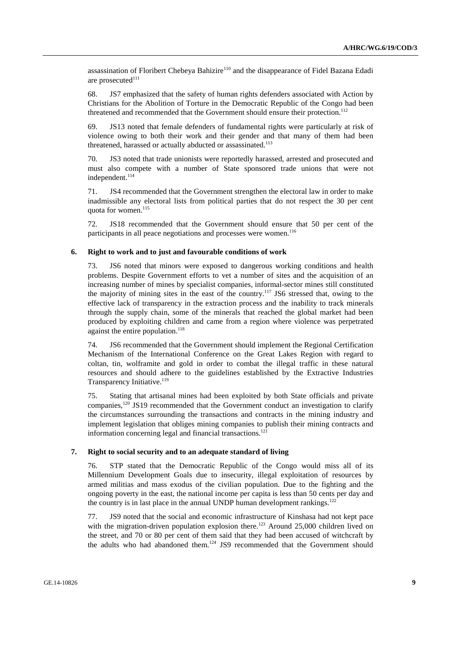assassination of Floribert Chebeya Bahizire<sup>110</sup> and the disappearance of Fidel Bazana Edadi are prosecuted<sup>111</sup>

68. JS7 emphasized that the safety of human rights defenders associated with Action by Christians for the Abolition of Torture in the Democratic Republic of the Congo had been threatened and recommended that the Government should ensure their protection.<sup>112</sup>

69. JS13 noted that female defenders of fundamental rights were particularly at risk of violence owing to both their work and their gender and that many of them had been threatened, harassed or actually abducted or assassinated.<sup>113</sup>

70. JS3 noted that trade unionists were reportedly harassed, arrested and prosecuted and must also compete with a number of State sponsored trade unions that were not independent.<sup>114</sup>

71. JS4 recommended that the Government strengthen the electoral law in order to make inadmissible any electoral lists from political parties that do not respect the 30 per cent quota for women.<sup>115</sup>

72. JS18 recommended that the Government should ensure that 50 per cent of the participants in all peace negotiations and processes were women.<sup>116</sup>

# **6. Right to work and to just and favourable conditions of work**

73. JS6 noted that minors were exposed to dangerous working conditions and health problems. Despite Government efforts to vet a number of sites and the acquisition of an increasing number of mines by specialist companies, informal-sector mines still constituted the majority of mining sites in the east of the country.117 JS6 stressed that, owing to the effective lack of transparency in the extraction process and the inability to track minerals through the supply chain, some of the minerals that reached the global market had been produced by exploiting children and came from a region where violence was perpetrated against the entire population. $118$ 

74. JS6 recommended that the Government should implement the Regional Certification Mechanism of the International Conference on the Great Lakes Region with regard to coltan, tin, wolframite and gold in order to combat the illegal traffic in these natural resources and should adhere to the guidelines established by the Extractive Industries Transparency Initiative.<sup>119</sup>

75. Stating that artisanal mines had been exploited by both State officials and private companies,<sup>120</sup> JS19 recommended that the Government conduct an investigation to clarify the circumstances surrounding the transactions and contracts in the mining industry and implement legislation that obliges mining companies to publish their mining contracts and information concerning legal and financial transactions.<sup>121</sup>

## **7. Right to social security and to an adequate standard of living**

76. STP stated that the Democratic Republic of the Congo would miss all of its Millennium Development Goals due to insecurity, illegal exploitation of resources by armed militias and mass exodus of the civilian population. Due to the fighting and the ongoing poverty in the east, the national income per capita is less than 50 cents per day and the country is in last place in the annual UNDP human development rankings.<sup>122</sup>

77. JS9 noted that the social and economic infrastructure of Kinshasa had not kept pace with the migration-driven population explosion there.<sup>123</sup> Around 25,000 children lived on the street, and 70 or 80 per cent of them said that they had been accused of witchcraft by the adults who had abandoned them.<sup>124</sup> JS9 recommended that the Government should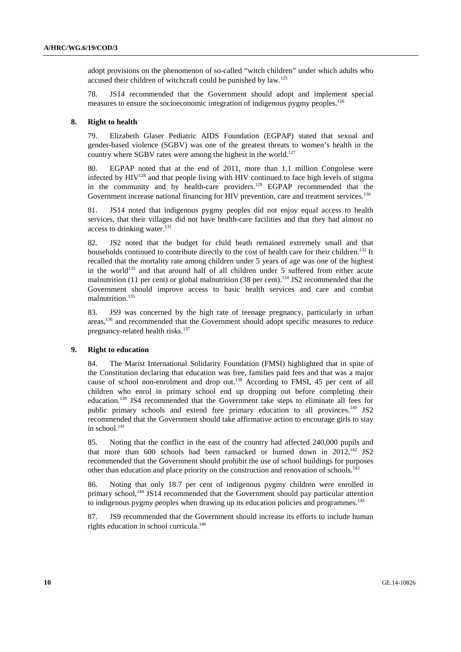adopt provisions on the phenomenon of so-called "witch children" under which adults who accused their children of witchcraft could be punished by law.125

78. JS14 recommended that the Government should adopt and implement special measures to ensure the socioeconomic integration of indigenous pygmy peoples.<sup>126</sup>

#### **8. Right to health**

79. Elizabeth Glaser Pediatric AIDS Foundation (EGPAP) stated that sexual and gender-based violence (SGBV) was one of the greatest threats to women's health in the country where  $SGBV$  rates were among the highest in the world.<sup>127</sup>

80. EGPAP noted that at the end of 2011, more than 1.1 million Congolese were infected by  $HIV^{128}$  and that people living with HIV continued to face high levels of stigma in the community and by health-care providers.<sup>129</sup> EGPAP recommended that the Government increase national financing for HIV prevention, care and treatment services.<sup>130</sup>

81. JS14 noted that indigenous pygmy peoples did not enjoy equal access to health services, that their villages did not have health-care facilities and that they had almost no access to drinking water. $131$ 

82. JS2 noted that the budget for child heath remained extremely small and that households continued to contribute directly to the cost of health care for their children.<sup>132</sup> It recalled that the mortality rate among children under 5 years of age was one of the highest in the world<sup>133</sup> and that around half of all children under 5 suffered from either acute malnutrition (11 per cent) or global malnutrition (38 per cent).<sup>134</sup> JS2 recommended that the Government should improve access to basic health services and care and combat malnutrition.<sup>135</sup>

83. JS9 was concerned by the high rate of teenage pregnancy, particularly in urban areas,136 and recommended that the Government should adopt specific measures to reduce pregnancy-related health risks.<sup>137</sup>

#### **9. Right to education**

84. The Marist International Solidarity Foundation (FMSI) highlighted that in spite of the Constitution declaring that education was free, families paid fees and that was a major cause of school non-enrolment and drop out.138 According to FMSI, 45 per cent of all children who enrol in primary school end up dropping out before completing their education.<sup>139</sup> JS4 recommended that the Government take steps to eliminate all fees for public primary schools and extend free primary education to all provinces.<sup>140</sup> JS2 recommended that the Government should take affirmative action to encourage girls to stay in school.<sup>141</sup>

85. Noting that the conflict in the east of the country had affected 240,000 pupils and that more than 600 schools had been ransacked or burned down in  $2012$ ,<sup>142</sup> JS2 recommended that the Government should prohibit the use of school buildings for purposes other than education and place priority on the construction and renovation of schools.<sup>143</sup>

86. Noting that only 18.7 per cent of indigenous pygmy children were enrolled in primary school,<sup>144</sup> JS14 recommended that the Government should pay particular attention to indigenous pygmy peoples when drawing up its education policies and programmes.<sup>145</sup>

87. JS9 recommended that the Government should increase its efforts to include human rights education in school curricula.146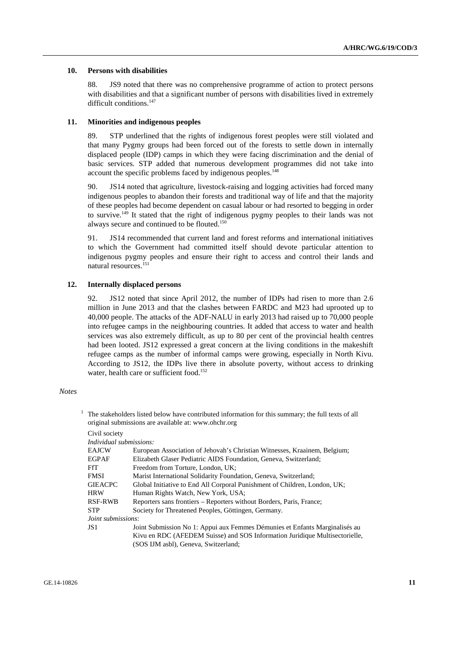#### **10. Persons with disabilities**

88. JS9 noted that there was no comprehensive programme of action to protect persons with disabilities and that a significant number of persons with disabilities lived in extremely difficult conditions.<sup>147</sup>

#### **11. Minorities and indigenous peoples**

89. STP underlined that the rights of indigenous forest peoples were still violated and that many Pygmy groups had been forced out of the forests to settle down in internally displaced people (IDP) camps in which they were facing discrimination and the denial of basic services. STP added that numerous development programmes did not take into account the specific problems faced by indigenous peoples.<sup>148</sup>

90. JS14 noted that agriculture, livestock-raising and logging activities had forced many indigenous peoples to abandon their forests and traditional way of life and that the majority of these peoples had become dependent on casual labour or had resorted to begging in order to survive.<sup>149</sup> It stated that the right of indigenous pygmy peoples to their lands was not always secure and continued to be flouted.<sup>150</sup>

91. JS14 recommended that current land and forest reforms and international initiatives to which the Government had committed itself should devote particular attention to indigenous pygmy peoples and ensure their right to access and control their lands and natural resources.<sup>151</sup>

#### **12. Internally displaced persons**

92. JS12 noted that since April 2012, the number of IDPs had risen to more than 2.6 million in June 2013 and that the clashes between FARDC and M23 had uprooted up to 40,000 people. The attacks of the ADF-NALU in early 2013 had raised up to 70,000 people into refugee camps in the neighbouring countries. It added that access to water and health services was also extremely difficult, as up to 80 per cent of the provincial health centres had been looted. JS12 expressed a great concern at the living conditions in the makeshift refugee camps as the number of informal camps were growing, especially in North Kivu. According to JS12, the IDPs live there in absolute poverty, without access to drinking water, health care or sufficient food.<sup>152</sup>

#### *Notes*

1

| The stakeholders listed below have contributed information for this summary; the full texts of all<br>original submissions are available at: www.ohchr.org |                                                                             |  |
|------------------------------------------------------------------------------------------------------------------------------------------------------------|-----------------------------------------------------------------------------|--|
| Civil society                                                                                                                                              |                                                                             |  |
| Individual submissions:                                                                                                                                    |                                                                             |  |
| <b>EAJCW</b>                                                                                                                                               | European Association of Jehovah's Christian Witnesses, Kraainem, Belgium;   |  |
| <b>EGPAF</b>                                                                                                                                               | Elizabeth Glaser Pediatric AIDS Foundation, Geneva, Switzerland;            |  |
| FfT.                                                                                                                                                       | Freedom from Torture, London, UK;                                           |  |
| <b>FMSI</b>                                                                                                                                                | Marist International Solidarity Foundation, Geneva, Switzerland;            |  |
| <b>GIEACPC</b>                                                                                                                                             | Global Initiative to End All Corporal Punishment of Children, London, UK;   |  |
| <b>HRW</b>                                                                                                                                                 | Human Rights Watch, New York, USA;                                          |  |
| <b>RSF-RWB</b>                                                                                                                                             | Reporters sans frontiers – Reporters without Borders, Paris, France;        |  |
| <b>STP</b>                                                                                                                                                 | Society for Threatened Peoples, Göttingen, Germany.                         |  |
| <i>Joint submissions:</i>                                                                                                                                  |                                                                             |  |
| JS 1                                                                                                                                                       | Joint Submission No 1: Appui aux Femmes Démunies et Enfants Marginalisés au |  |
|                                                                                                                                                            | Kivu en RDC (AFEDEM Suisse) and SOS Information Juridique Multisectorielle, |  |
|                                                                                                                                                            | (SOS IJM asbl), Geneva, Switzerland;                                        |  |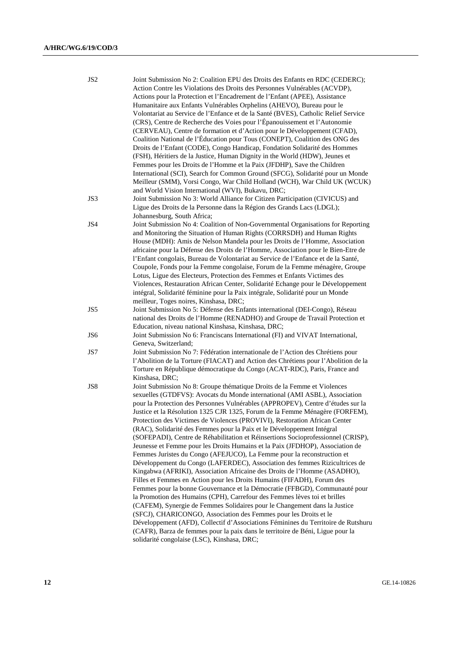| JS <sub>2</sub> | Joint Submission No 2: Coalition EPU des Droits des Enfants en RDC (CEDERC);<br>Action Contre les Violations des Droits des Personnes Vulnérables (ACVDP), |
|-----------------|------------------------------------------------------------------------------------------------------------------------------------------------------------|
|                 | Actions pour la Protection et l'Encadrement de l'Enfant (APEE), Assistance                                                                                 |
|                 | Humanitaire aux Enfants Vulnérables Orphelins (AHEVO), Bureau pour le                                                                                      |
|                 | Volontariat au Service de l'Enfance et de la Santé (BVES), Catholic Relief Service                                                                         |
|                 | (CRS), Centre de Recherche des Voies pour l'Épanouissement et l'Autonomie                                                                                  |
|                 | (CERVEAU), Centre de formation et d'Action pour le Développement (CFAD),                                                                                   |
|                 | Coalition National de l'Éducation pour Tous (CONEPT), Coalition des ONG des                                                                                |
|                 | Droits de l'Enfant (CODE), Congo Handicap, Fondation Solidarité des Hommes                                                                                 |
|                 | (FSH), Héritiers de la Justice, Human Dignity in the World (HDW), Jeunes et                                                                                |
|                 | Femmes pour les Droits de l'Homme et la Paix (JFDHP), Save the Children                                                                                    |
|                 | International (SCI), Search for Common Ground (SFCG), Solidarité pour un Monde                                                                             |
|                 | Meilleur (SMM), Vorsi Congo, War Child Holland (WCH), War Child UK (WCUK)                                                                                  |
|                 | and World Vision International (WVI), Bukavu, DRC;                                                                                                         |
| JS3             | Joint Submission No 3: World Alliance for Citizen Participation (CIVICUS) and                                                                              |
|                 | Ligue des Droits de la Personne dans la Région des Grands Lacs (LDGL);                                                                                     |
|                 | Johannesburg, South Africa;                                                                                                                                |
| JS4             | Joint Submission No 4: Coalition of Non-Governmental Organisations for Reporting                                                                           |
|                 | and Monitoring the Situation of Human Rights (CORRSDH) and Human Rights                                                                                    |
|                 | House (MDH): Amis de Nelson Mandela pour les Droits de l'Homme, Association                                                                                |
|                 | africaine pour la Défense des Droits de l'Homme, Association pour le Bien-Etre de                                                                          |
|                 | l'Enfant congolais, Bureau de Volontariat au Service de l'Enfance et de la Santé,                                                                          |
|                 | Coupole, Fonds pour la Femme congolaise, Forum de la Femme ménagère, Groupe                                                                                |
|                 | Lotus, Ligue des Electeurs, Protection des Femmes et Enfants Victimes des                                                                                  |
|                 | Violences, Restauration African Center, Solidarité Echange pour le Développement                                                                           |
|                 | intégral, Solidarité féminine pour la Paix intégrale, Solidarité pour un Monde                                                                             |
|                 | meilleur, Toges noires, Kinshasa, DRC;                                                                                                                     |
| JS5             | Joint Submission No 5: Défense des Enfants international (DEI-Congo), Réseau                                                                               |
|                 | national des Droits de l'Homme (RENADHO) and Groupe de Travail Protection et                                                                               |
|                 | Education, niveau national Kinshasa, Kinshasa, DRC;                                                                                                        |
| JS6             | Joint Submission No 6: Franciscans International (FI) and VIVAT International,                                                                             |
| JS7             | Geneva, Switzerland;<br>Joint Submission No 7: Fédération internationale de l'Action des Chrétiens pour                                                    |
|                 | l'Abolition de la Torture (FIACAT) and Action des Chrétiens pour l'Abolition de la                                                                         |
|                 | Torture en République démocratique du Congo (ACAT-RDC), Paris, France and                                                                                  |
|                 | Kinshasa, DRC;                                                                                                                                             |
| JS8             | Joint Submission No 8: Groupe thématique Droits de la Femme et Violences                                                                                   |
|                 | sexuelles (GTDFVS): Avocats du Monde international (AMI ASBL), Association                                                                                 |
|                 | pour la Protection des Personnes Vulnérables (APPROPEV), Centre d'études sur la                                                                            |
|                 | Justice et la Résolution 1325 CJR 1325, Forum de la Femme Ménagère (FORFEM),                                                                               |
|                 | Protection des Victimes de Violences (PROVIVI), Restoration African Center                                                                                 |
|                 | (RAC), Solidarité des Femmes pour la Paix et le Développement Intégral                                                                                     |
|                 | (SOFEPADI), Centre de Réhabilitation et Réinsertions Socioprofessionnel (CRISP),                                                                           |
|                 | Jeunesse et Femme pour les Droits Humains et la Paix (JFDHOP), Association de                                                                              |
|                 | Femmes Juristes du Congo (AFEJUCO), La Femme pour la reconstruction et                                                                                     |
|                 | Développement du Congo (LAFERDEC), Association des femmes Rizicultrices de                                                                                 |
|                 | Kingabwa (AFRIKI), Association Africaine des Droits de l'Homme (ASADHO),                                                                                   |
|                 | Filles et Femmes en Action pour les Droits Humains (FIFADH), Forum des                                                                                     |
|                 | Femmes pour la bonne Gouvernance et la Démocratie (FFBGD), Communauté pour                                                                                 |
|                 | la Promotion des Humains (CPH), Carrefour des Femmes lèves toi et brilles                                                                                  |
|                 | (CAFEM), Synergie de Femmes Solidaires pour le Changement dans la Justice                                                                                  |
|                 | (SFCJ), CHARICONGO, Association des Femmes pour les Droits et le                                                                                           |
|                 | Développement (AFD), Collectif d'Associations Féminines du Territoire de Rutshuru                                                                          |
|                 | (CAFR), Barza de femmes pour la paix dans le territoire de Béni, Ligue pour la                                                                             |
|                 | solidarité congolaise (LSC), Kinshasa, DRC;                                                                                                                |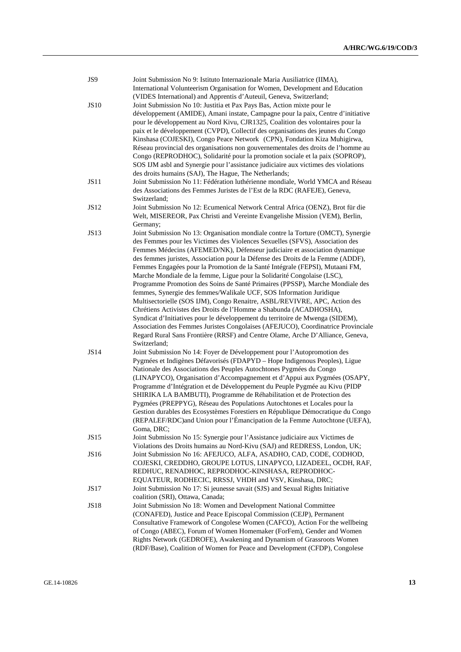| JS9         | Joint Submission No 9: Istituto Internazionale Maria Ausiliatrice (IIMA),<br>International Volunteerism Organisation for Women, Development and Education |
|-------------|-----------------------------------------------------------------------------------------------------------------------------------------------------------|
|             | (VIDES International) and Apprentis d'Auteuil, Geneva, Switzerland;                                                                                       |
| <b>JS10</b> | Joint Submission No 10: Justitia et Pax Pays Bas, Action mixte pour le                                                                                    |
|             | développement (AMIDE), Amani instate, Campagne pour la paix, Centre d'initiative                                                                          |
|             | pour le développement au Nord Kivu, CJR1325, Coalition des volontaires pour la                                                                            |
|             | paix et le développement (CVPD), Collectif des organisations des jeunes du Congo                                                                          |
|             | Kinshasa (COJESKI), Congo Peace Network (CPN), Fondation Kiza Muhigirwa,                                                                                  |
|             | Réseau provincial des organisations non gouvernementales des droits de l'homme au                                                                         |
|             | Congo (REPRODHOC), Solidarité pour la promotion sociale et la paix (SOPROP),                                                                              |
|             | SOS IJM asbl and Synergie pour l'assistance judiciaire aux victimes des violations                                                                        |
|             | des droits humains (SAJ), The Hague, The Netherlands;                                                                                                     |
| JS11        | Joint Submission No 11: Fédération luthérienne mondiale, World YMCA and Réseau                                                                            |
|             | des Associations des Femmes Juristes de l'Est de la RDC (RAFEJE), Geneva,                                                                                 |
|             | Switzerland;                                                                                                                                              |
| <b>JS12</b> | Joint Submission No 12: Ecumenical Network Central Africa (OENZ), Brot für die                                                                            |
|             | Welt, MISEREOR, Pax Christi and Vereinte Evangelishe Mission (VEM), Berlin,                                                                               |
|             | Germany;                                                                                                                                                  |
| <b>JS13</b> | Joint Submission No 13: Organisation mondiale contre la Torture (OMCT), Synergie                                                                          |
|             | des Femmes pour les Victimes des Violences Sexuelles (SFVS), Association des                                                                              |
|             | Femmes Médecins (AFEMED/NK), Défenseur judiciaire et association dynamique                                                                                |
|             | des femmes juristes, Association pour la Défense des Droits de la Femme (ADDF),                                                                           |
|             | Femmes Engagées pour la Promotion de la Santé Intégrale (FEPSI), Mutaani FM,                                                                              |
|             | Marche Mondiale de la femme, Ligue pour la Solidarité Congolaise (LSC),                                                                                   |
|             | Programme Promotion des Soins de Santé Primaires (PPSSP), Marche Mondiale des                                                                             |
|             | femmes, Synergie des femmes/Walikale UCF, SOS Information Juridique                                                                                       |
|             | Multisectorielle (SOS IJM), Congo Renaitre, ASBL/REVIVRE, APC, Action des                                                                                 |
|             | Chrétiens Activistes des Droits de l'Homme a Shabunda (ACADHOSHA),                                                                                        |
|             | Syndicat d'Initiatives pour le développement du territoire de Mwenga (SIDEM),                                                                             |
|             | Association des Femmes Juristes Congolaises (AFEJUCO), Coordinatrice Provinciale                                                                          |
|             | Regard Rural Sans Frontière (RRSF) and Centre Olame, Arche D'Alliance, Geneva,                                                                            |
|             | Switzerland;                                                                                                                                              |
| JS14        | Joint Submission No 14: Foyer de Développement pour l'Autopromotion des                                                                                   |
|             | Pygmées et Indigènes Défavorisés (FDAPYD – Hope Indigenous Peoples), Ligue                                                                                |
|             | Nationale des Associations des Peuples Autochtones Pygmées du Congo                                                                                       |
|             | (LINAPYCO), Organisation d'Accompagnement et d'Appui aux Pygmées (OSAPY,                                                                                  |
|             | Programme d'Intégration et de Développement du Peuple Pygmée au Kivu (PIDP                                                                                |
|             | SHIRIKA LA BAMBUTI), Programme de Réhabilitation et de Protection des                                                                                     |
|             | Pygmées (PREPPYG), Réseau des Populations Autochtones et Locales pour la                                                                                  |
|             | Gestion durables des Ecosystèmes Forestiers en République Démocratique du Congo                                                                           |
|             | (REPALEF/RDC)and Union pour l'Émancipation de la Femme Autochtone (UEFA),                                                                                 |
|             | Goma, DRC;                                                                                                                                                |
| JS15        | Joint Submission No 15: Synergie pour l'Assistance judiciaire aux Victimes de                                                                             |
|             | Violations des Droits humains au Nord-Kivu (SAJ) and REDRESS, London, UK;                                                                                 |
| JS16        | Joint Submission No 16: AFEJUCO, ALFA, ASADHO, CAD, CODE, CODHOD,                                                                                         |
|             | COJESKI, CREDDHO, GROUPE LOTUS, LINAPYCO, LIZADEEL, OCDH, RAF,                                                                                            |
|             | REDHUC, RENADHOC, REPRODHOC-KINSHASA, REPRODHOC-                                                                                                          |
|             | EQUATEUR, RODHECIC, RRSSJ, VHDH and VSV, Kinshasa, DRC;                                                                                                   |
| <b>JS17</b> | Joint Submission No 17: Si jeunesse savait (SJS) and Sexual Rights Initiative                                                                             |
|             | coalition (SRI), Ottawa, Canada;                                                                                                                          |
| <b>JS18</b> | Joint Submission No 18: Women and Development National Committee                                                                                          |
|             | (CONAFED), Justice and Peace Episcopal Commission (CEJP), Permanent                                                                                       |
|             | Consultative Framework of Congolese Women (CAFCO), Action For the wellbeing                                                                               |
|             | of Congo (ABEC), Forum of Women Homemaker (ForFem), Gender and Women                                                                                      |
|             | Rights Network (GEDROFE), Awakening and Dynamism of Grassroots Women                                                                                      |
|             | (RDF/Base), Coalition of Women for Peace and Development (CFDP), Congolese                                                                                |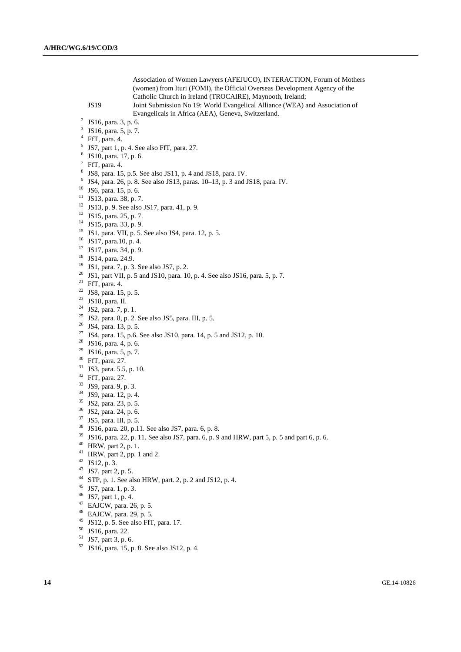Association of Women Lawyers (AFEJUCO), INTERACTION, Forum of Mothers (women) from Ituri (FOMI), the Official Overseas Development Agency of the Catholic Church in Ireland (TROCAIRE), Maynooth, Ireland; JS19 Joint Submission No 19: World Evangelical Alliance (WEA) and Association of Evangelicals in Africa (AEA), Geneva, Switzerland. 2 <sup>2</sup> JS16, para. 3, p. 6. 3 JS16, para. 5, p. 7. 4 FfT, para. 4.  $<sup>5</sup>$  JS7, part 1, p. 4. See also FfT, para. 27.</sup> 6 JS10, para. 17, p. 6.  $7$  FfT, para. 4. 8 JS8, para. 15, p.5. See also JS11, p. 4 and JS18, para. IV. <sup>9</sup> JS4, para. 26, p. 8. See also JS13, paras.  $10-13$ , p. 3 and JS18, para. IV. 10 JS6, para. 15, p. 6. 11 JS13, para. 38, p. 7. 12 JS13, p. 9. See also JS17, para. 41, p. 9. 13 JS15, para. 25, p. 7. 14 JS15, para. 33, p. 9. 15 JS1, para. VII, p. 5. See also JS4, para. 12, p. 5. 16 JS17, para.10, p. 4. 17 JS17, para. 34, p. 9. 18 JS14, para. 24.9. 19 JS1, para. 7, p. 3. See also JS7, p. 2. <sup>20</sup> JS1, part VII, p. 5 and JS10, para. 10, p. 4. See also JS16, para. 5, p. 7. <sup>21</sup> FfT, para. 4. 22 JS8, para. 15, p. 5. 23 JS18, para. II. 24 JS2, para. 7, p. 1.  $25$  JS2, para. 8, p. 2. See also JS5, para. III, p. 5. 26 JS4, para. 13, p. 5.  $27 \text{ JS4, para. } 15, \text{ p.6. See also JS10, para. } 14, \text{ p. } 5 \text{ and JS12, p. } 10.$ <sup>28</sup> JS16, para. 4, p. 6. <sup>29</sup> JS16, para. 5, p. 7. 30 FfT, para. 27. 31 JS3, para. 5.5, p. 10. 32 FfT, para. 27. 33 JS9, para. 9, p. 3. 34 JS9, para. 12, p. 4. 35 JS2, para. 23, p. 5. 36 JS2, para. 24, p. 6. 37 JS5, para. III, p. 5. 38 JS16, para. 20, p.11. See also JS7, para. 6, p. 8.  $39$  JS16, para. 22, p. 11. See also JS7, para. 6, p. 9 and HRW, part 5, p. 5 and part 6, p. 6.  $40$  HRW, part 2, p. 1. <sup>41</sup> HRW, part 2, pp. 1 and 2.  $42$  JS12, p. 3. 43 JS7, part 2, p. 5.

- 44 STP, p. 1. See also HRW, part. 2, p. 2 and JS12, p. 4.
- 45 JS7, para. 1, p. 3.
- 46 JS7, part 1, p. 4.
- 47 EAJCW, para. 26, p. 5.
- 48 EAJCW, para. 29, p. 5.
- 49 JS12, p. 5. See also FfT, para. 17.
- 50 JS16, para. 22.
- $51$  JS7, part 3, p. 6.
- 52 JS16, para. 15, p. 8. See also JS12, p. 4.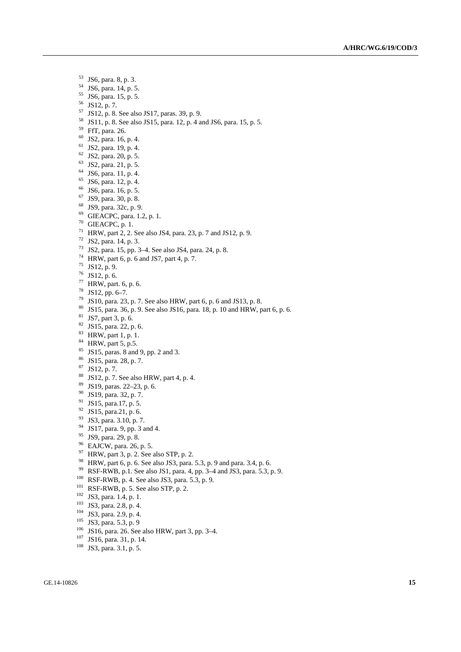- $^{53}$  JS6, para. 8, p. 3.<br> $^{54}$  JS6, para. 14, p. 5
- JS6, para. 14, p. 5.
- 55 JS6, para. 15, p. 5.
- 56 JS12, p. 7.
- 57 JS12, p. 8. See also JS17, paras. 39, p. 9.
- 58 JS11, p. 8. See also JS15, para. 12, p. 4 and JS6, para. 15, p. 5.
- 59 FfT, para. 26.
- 60 JS2, para. 16, p. 4.
- 61 JS2, para. 19, p. 4.
- 62 JS2, para. 20, p. 5.
- 63 JS2, para. 21, p. 5.
- 64 JS6, para. 11, p. 4.
- 65 JS6, para. 12, p. 4.
- 66 JS6, para. 16, p. 5.
- 67 JS9, para. 30, p. 8.
- 68 JS9, para. 32c, p. 9.
- 69 GIEACPC, para. 1.2, p. 1.
- 70 GIEACPC, p. 1.
- 71 HRW, part 2, 2. See also JS4, para. 23, p. 7 and JS12, p. 9.
- 72 JS2, para. 14, p. 3.
- 73 JS2, para. 15, pp. 3–4. See also JS4, para. 24, p. 8.
- <sup>74</sup> HRW, part 6, p. 6 and JS7, part 4, p. 7.
- 75 JS12, p. 9.
- $76$  JS12, p. 6.
- 77 HRW, part. 6, p. 6.
- 78 JS12, pp. 6–7.
- 79 JS10, para. 23, p. 7. See also HRW, part 6, p. 6 and JS13, p. 8.
- 80 JS15, para. 36, p. 9. See also JS16, para. 18, p. 10 and HRW, part 6, p. 6.
- 81 JS7, part 3, p. 6.
- 82 JS15, para. 22, p. 6.
- 83 HRW, part 1, p. 1.
- $84$  HRW, part 5, p.5.
- 85 JS15, paras. 8 and 9, pp. 2 and 3.
- 86 JS15, para. 28, p. 7.
- 87 JS12, p. 7.
- $88$  JS12, p. 7. See also HRW, part 4, p. 4.
- 89 JS19, paras. 22–23, p. 6.
- 90 JS19, para. 32, p. 7.
- 91 JS15, para.17, p. 5.
- 92 JS15, para.21, p. 6.
- <sup>93</sup> JS3, para. 3.10, p. 7.
- $^{94}$  JS17, para. 9, pp. 3 and 4.<br><sup>95</sup> JS9, para. 29, p. 8.
- 
- $96$  EAJCW, para. 26, p. 5.
- $97$  HRW, part 3, p. 2. See also STP, p. 2.
- 
- <sup>98</sup> HRW, part 6, p. 6. See also JS3, para. 5.3, p. 9 and para. 3.4, p. 6.<br><sup>99</sup> RSF-RWB, p. 1. See also JS1, para. 4, pp. 3–4 and JS3, para. 5.3, p. 9. <sup>99</sup> RSF-RWB, p.1. See also JS1, para. 4, pp. 3–4 and JS3, para. 5.3, p. 9.<br><sup>100</sup> RSF-RWB, p. 4. See also JS3, para. 5.3, p. 9.<br><sup>101</sup> RSF-RWB, p. 5. See also STP, p. 2.<br><sup>102</sup> JS3, para. 1.4, p. 1.<br><sup>103</sup> JS3, para. 2.8, p.
- 
- 
- 
- 
- 
- 
- 
- 
-